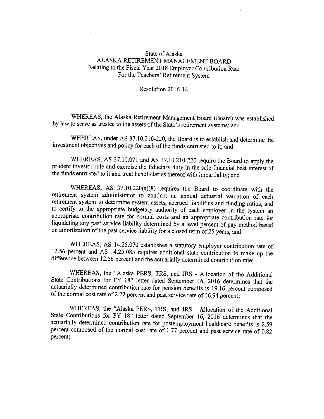## State of Alaska ALASKA RETIREMENT MANAGEMENT BOARD Relating to the Fiscal Year 2018 Employer Contribution Rate For the Teachers' Retirement System

Resolution 2016-14

WHEREAS, the Alaska Retirement Management Board (Board) was established by law to serve as trustee to the assets of the State's retirement systems; and

WHEREAS, under AS 37.10.210-220, the Board is to establish and determine the investment objectives and policy for each of the funds entrusted to it; and

WHEREAS, AS 37.10.071 and AS 37.10.210-220 require the Board to apply the prudent investor rule and exercise the fiduciary duty in the sole financial best interest of the funds entrusted to it and treat beneficiaries thereof with impartiality; and

WHEREAS, AS 37.10.220(a)(8) requires the Board to coordinate with the retirement system administrator to conduct an annual actuarial valuation of each retirement system to determine system assets, accrued liabilities and funding ratios, and to certify to the appropriate budgetary authority of each employer in the system an appropriate contribution rate for normal costs and an appropriate contribution rate for liquidating any past service liability determined by <sup>a</sup> level percent of pay method based on amortization of the past service liability for <sup>a</sup> closed term of 25 years; and

WHEREAS, AS 14.25.070 establishes <sup>a</sup> statutory employer contribution rate of 12.56 percent and AS 14.25.085 requires additional state contribution to make up the difference between 12.56 percent and the actuarially determined contribution rate;

WHEREAS, the "Alaska PERS, TRS, and JRS - Allocation of the Additional State Contributions for FY 18" letter dated September 16, 2016 determines that the actuarially determined contribution rate for pension benefits is 19.16 percent composed of the normal cost rate of 2.22 percent and past service rate of 16.94 percent;

WHEREAS, the "Alaska PERS, TRS, and JRS - Allocation of the Additional State Contributions for FY 18" letter dated September 16, 2016 determines that the actuarially determined contribution rate for postemployment healthcare benefits is 2.59 percent composed of the normal cost rate of 1.77 percent and past service rate of 0.82 percent;